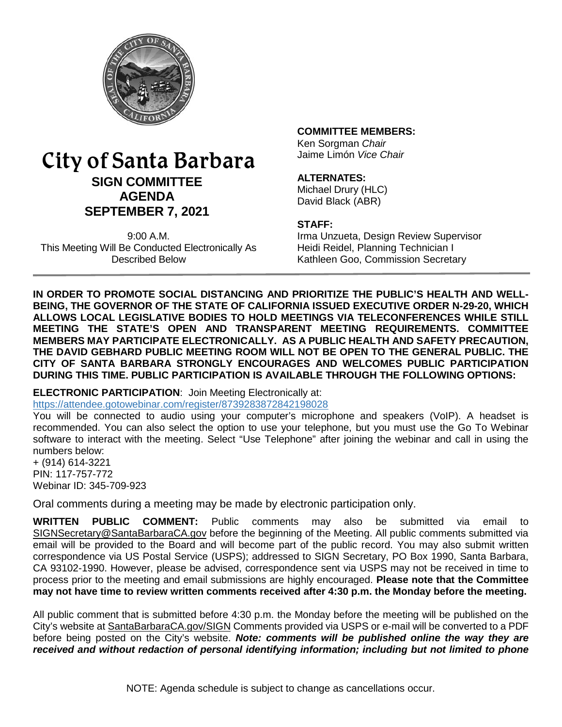

# City of Santa Barbara **SIGN COMMITTEE AGENDA SEPTEMBER 7, 2021**

9:00 A.M. This Meeting Will Be Conducted Electronically As Described Below

### **COMMITTEE MEMBERS:**

Ken Sorgman *Chair* Jaime Limón *Vice Chair*

### **ALTERNATES:**

Michael Drury (HLC) David Black (ABR)

#### **STAFF:**

Irma Unzueta, Design Review Supervisor Heidi Reidel, Planning Technician I Kathleen Goo, Commission Secretary

**IN ORDER TO PROMOTE SOCIAL DISTANCING AND PRIORITIZE THE PUBLIC'S HEALTH AND WELL-BEING, THE GOVERNOR OF THE STATE OF CALIFORNIA ISSUED EXECUTIVE ORDER N-29-20, WHICH ALLOWS LOCAL LEGISLATIVE BODIES TO HOLD MEETINGS VIA TELECONFERENCES WHILE STILL MEETING THE STATE'S OPEN AND TRANSPARENT MEETING REQUIREMENTS. COMMITTEE MEMBERS MAY PARTICIPATE ELECTRONICALLY. AS A PUBLIC HEALTH AND SAFETY PRECAUTION, THE DAVID GEBHARD PUBLIC MEETING ROOM WILL NOT BE OPEN TO THE GENERAL PUBLIC. THE CITY OF SANTA BARBARA STRONGLY ENCOURAGES AND WELCOMES PUBLIC PARTICIPATION DURING THIS TIME. PUBLIC PARTICIPATION IS AVAILABLE THROUGH THE FOLLOWING OPTIONS:**

**ELECTRONIC PARTICIPATION**: Join Meeting Electronically at: <https://attendee.gotowebinar.com/register/8739283872842198028>

You will be connected to audio using your computer's microphone and speakers (VoIP). A headset is recommended. You can also select the option to use your telephone, but you must use the Go To Webinar software to interact with the meeting. Select "Use Telephone" after joining the webinar and call in using the numbers below:

+ (914) 614-3221 PIN: 117-757-772 Webinar ID: 345-709-923

Oral comments during a meeting may be made by electronic participation only.

**WRITTEN PUBLIC COMMENT:** Public comments may also be submitted via email to [SIGNSecretary@SantaBarbaraCA.gov](mailto:SIGNSecretary@SantaBarbaraCA.gov) before the beginning of the Meeting. All public comments submitted via email will be provided to the Board and will become part of the public record. You may also submit written correspondence via US Postal Service (USPS); addressed to SIGN Secretary, PO Box 1990, Santa Barbara, CA 93102-1990. However, please be advised, correspondence sent via USPS may not be received in time to process prior to the meeting and email submissions are highly encouraged. **Please note that the Committee may not have time to review written comments received after 4:30 p.m. the Monday before the meeting.**

All public comment that is submitted before 4:30 p.m. the Monday before the meeting will be published on the City's website at [SantaBarbaraCA.gov/SIGN](http://www.santabarbaraca.gov/SIGN) Comments provided via USPS or e-mail will be converted to a PDF before being posted on the City's website. *Note: comments will be published online the way they are received and without redaction of personal identifying information; including but not limited to phone*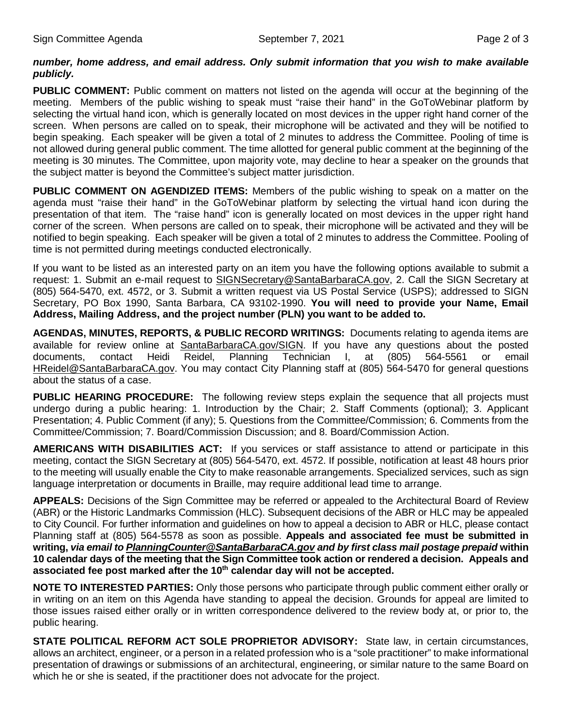### *number, home address, and email address. Only submit information that you wish to make available publicly.*

**PUBLIC COMMENT:** Public comment on matters not listed on the agenda will occur at the beginning of the meeting. Members of the public wishing to speak must "raise their hand" in the GoToWebinar platform by selecting the virtual hand icon, which is generally located on most devices in the upper right hand corner of the screen. When persons are called on to speak, their microphone will be activated and they will be notified to begin speaking. Each speaker will be given a total of 2 minutes to address the Committee. Pooling of time is not allowed during general public comment. The time allotted for general public comment at the beginning of the meeting is 30 minutes. The Committee, upon majority vote, may decline to hear a speaker on the grounds that the subject matter is beyond the Committee's subject matter jurisdiction.

**PUBLIC COMMENT ON AGENDIZED ITEMS:** Members of the public wishing to speak on a matter on the agenda must "raise their hand" in the GoToWebinar platform by selecting the virtual hand icon during the presentation of that item. The "raise hand" icon is generally located on most devices in the upper right hand corner of the screen. When persons are called on to speak, their microphone will be activated and they will be notified to begin speaking. Each speaker will be given a total of 2 minutes to address the Committee. Pooling of time is not permitted during meetings conducted electronically.

If you want to be listed as an interested party on an item you have the following options available to submit a request: 1. Submit an e-mail request to [SIGNSecretary@SantaBarbaraCA.gov,](mailto:SIGNSecretary@SantaBarbaraCA.gov) 2. Call the SIGN Secretary at (805) 564-5470, ext. 4572, or 3. Submit a written request via US Postal Service (USPS); addressed to SIGN Secretary, PO Box 1990, Santa Barbara, CA 93102-1990. **You will need to provide your Name, Email Address, Mailing Address, and the project number (PLN) you want to be added to.**

**AGENDAS, MINUTES, REPORTS, & PUBLIC RECORD WRITINGS:** Documents relating to agenda items are available for review online at [SantaBarbaraCA.gov/SIGN.](http://www.santabarbaraca.gov/SIGN) If you have any questions about the posted documents, contact Heidi Reidel, Planning Technician I, at (805) 564-5561 or email [HReidel@SantaBarbaraCA.gov.](mailto:HReidel@SantaBarbaraCA.gov) You may contact City Planning staff at (805) 564-5470 for general questions about the status of a case.

**PUBLIC HEARING PROCEDURE:** The following review steps explain the sequence that all projects must undergo during a public hearing: 1. Introduction by the Chair; 2. Staff Comments (optional); 3. Applicant Presentation; 4. Public Comment (if any); 5. Questions from the Committee/Commission; 6. Comments from the Committee/Commission; 7. Board/Commission Discussion; and 8. Board/Commission Action.

**AMERICANS WITH DISABILITIES ACT:** If you services or staff assistance to attend or participate in this meeting, contact the SIGN Secretary at (805) 564-5470, ext. 4572. If possible, notification at least 48 hours prior to the meeting will usually enable the City to make reasonable arrangements. Specialized services, such as sign language interpretation or documents in Braille, may require additional lead time to arrange.

**APPEALS:** Decisions of the Sign Committee may be referred or appealed to the Architectural Board of Review (ABR) or the Historic Landmarks Commission (HLC). Subsequent decisions of the ABR or HLC may be appealed to City Council. For further information and guidelines on how to appeal a decision to ABR or HLC, please contact Planning staff at (805) 564-5578 as soon as possible. **Appeals and associated fee must be submitted in writing,** *via email t[o PlanningCounter@SantaBarbaraCA.gov](mailto:PlanningCounter@SantaBarbaraCA.gov) and by first class mail postage prepaid* **within 10 calendar days of the meeting that the Sign Committee took action or rendered a decision. Appeals and**  associated fee post marked after the 10<sup>th</sup> calendar day will not be accepted.

**NOTE TO INTERESTED PARTIES:** Only those persons who participate through public comment either orally or in writing on an item on this Agenda have standing to appeal the decision. Grounds for appeal are limited to those issues raised either orally or in written correspondence delivered to the review body at, or prior to, the public hearing.

**STATE POLITICAL REFORM ACT SOLE PROPRIETOR ADVISORY:** State law, in certain circumstances, allows an architect, engineer, or a person in a related profession who is a "sole practitioner" to make informational presentation of drawings or submissions of an architectural, engineering, or similar nature to the same Board on which he or she is seated, if the practitioner does not advocate for the project.